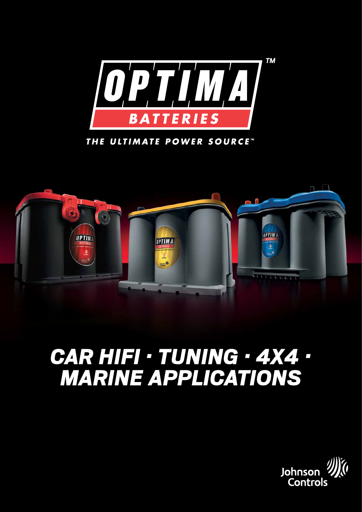

THE ULTIMATE POWER SOURCE"



# *car hifi · tuning · 4x4 · marine applications*

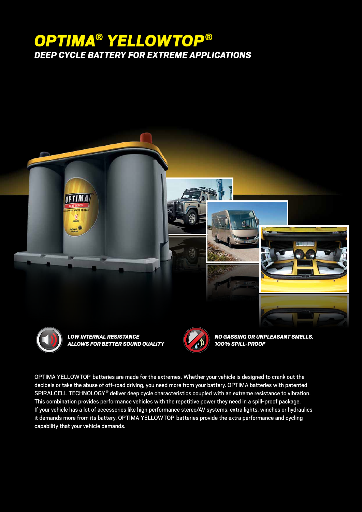## *OPTIMA® YELLOWTOP® deep cycle battery for extreme applications*



**OPTIMA** 

*Low internal resistance allows for better sound quality*



*No gassing or unpleasant smells, 100% spill-proof*

Optima YellowTop batteries are made for the extremes. Whether your vehicle is designed to crank out the decibels or take the abuse of off-road driving, you need more from your battery. OPTIMA batteries with patented SPIRALCELL TECHNOLOGY® deliver deep cycle characteristics coupled with an extreme resistance to vibration. This combination provides performance vehicles with the repetitive power they need in a spill-proof package. If your vehicle has a lot of accessories like high performance stereo/AV systems, extra lights, winches or hydraulics it demands more from its battery. OPTIMA YELLOWTOP batteries provide the extra performance and cycling capability that your vehicle demands.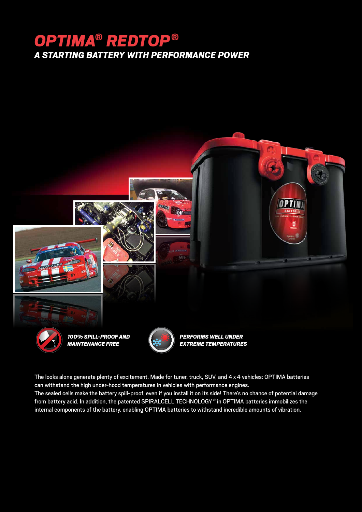## *OPTIMA® REDTOP® a starting battery with performance power*



The looks alone generate plenty of excitement. Made for tuner, truck, SUV, and 4 x 4 vehicles: OPTIMA batteries can withstand the high under-hood temperatures in vehicles with performance engines. The sealed cells make the battery spill-proof, even if you install it on its side! There's no chance of potential damage from battery acid. In addition, the patented SPIRALCELL TECHNOLOGY® in OPTIMA batteries immobilizes the internal components of the battery, enabling OPTIMA batteries to withstand incredible amounts of vibration.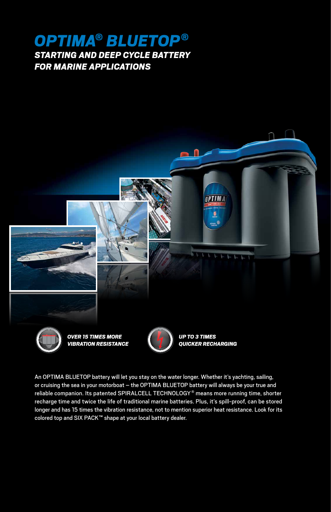### *OPTIMA® BLUETOP® STARTING AND DEEP CYCLE BATTERY FOR MARINE APPLICATIONS*



An OPTIMA BLUETOP battery will let you stay on the water longer. Whether it's yachting, sailing, or cruising the sea in your motorboat - the OPTIMA BLUETOP battery will always be your true and reliable companion. Its patented SPIRALCELL TECHNOLOGY® means more running time, shorter recharge time and twice the life of traditional marine batteries. Plus, it's spill-proof, can be stored longer and has 15 times the vibration resistance, not to mention superior heat resistance. Look for its colored top and SIX PACK™ shape at your local battery dealer.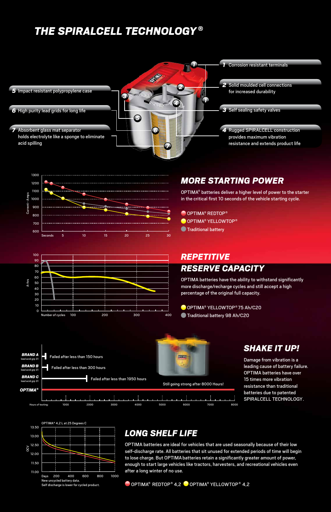### *THE SPIRALCELL TECHNOLOGY ®*





#### Number of cycles 100 200 300 300 400  $\overline{0}$ 10  $20$ 30 40 50 60 70 80 90 100 A-hrs

#### *More starting power*

OPTIMA® batteries deliver a higher level of power to the starter in the critical first 10 seconds of the vehicle starting cycle.

OPTIMA<sup>®</sup> REDTOP<sup>®</sup> OPTIMA<sup>®</sup> YELLOWTOP<sup>®</sup> **O** Traditional battery

#### *Repetitive reserve capacity*

OPTIMA batteries have the ability to withstand significantly more discharge/recharge cycles and still accept a high percentage of the original full capacity.

OPTIMA<sup>®</sup> YELLOWTOP<sup>®</sup> 75 Ah/C20 Traditional battery 98 Ah/C20



#### *Shake it up!*

Damage from vibration is a leading cause of battery failure. OPTIMA batteries have over 15 times more vibration resistance than traditional batteries due to patented Spiralcell Technology.



### *Long shelf life*

OPTIMA batteries are ideal for vehicles that are used seasonally because of their low self-discharge rate. All batteries that sit unused for extended periods of time will begin to lose charge. But OPTIMA batteries retain a significantly greater amount of power, enough to start large vehicles like tractors, harvesters, and recreational vehicles even after a long winter of no use.

O OPTIMA<sup>®</sup> REDTOP<sup>®</sup> 4.2 OPTIMA<sup>®</sup> YELLOWTOP<sup>®</sup> 4.2